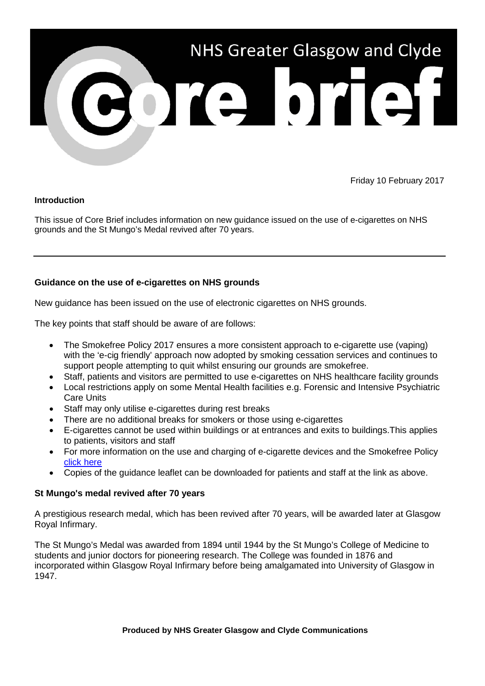

Friday 10 February 2017

## **Introduction**

This issue of Core Brief includes information on new guidance issued on the use of e-cigarettes on NHS grounds and the St Mungo's Medal revived after 70 years.

## **Guidance on the use of e-cigarettes on NHS grounds**

New guidance has been issued on the use of electronic cigarettes on NHS grounds.

The key points that staff should be aware of are follows:

- The Smokefree Policy 2017 ensures a more consistent approach to e-cigarette use (vaping) with the 'e-cig friendly' approach now adopted by smoking cessation services and continues to support people attempting to quit whilst ensuring our grounds are smokefree.
- Staff, patients and visitors are permitted to use e-cigarettes on NHS healthcare facility grounds
- Local restrictions apply on some Mental Health facilities e.g. Forensic and Intensive Psychiatric Care Units
- Staff may only utilise e-cigarettes during rest breaks
- There are no additional breaks for smokers or those using e-cigarettes
- E-cigarettes cannot be used within buildings or at entrances and exits to buildings.This applies to patients, visitors and staff
- For more information on the use and charging of e-cigarette devices and the Smokefree Policy [click here](http://www.nhsggc.org.uk/working-with-us/hr-connect/health-safety/policies-guidance-documents-forms/smoke-free/)
- Copies of the guidance leaflet can be downloaded for patients and staff at the link as above.

## **St Mungo's medal revived after 70 years**

A prestigious research medal, which has been revived after 70 years, will be awarded later at Glasgow Royal Infirmary.

The St Mungo's Medal was awarded from 1894 until 1944 by the St Mungo's College of Medicine to students and junior doctors for pioneering research. The College was founded in 1876 and incorporated within Glasgow Royal Infirmary before being amalgamated into University of Glasgow in 1947.